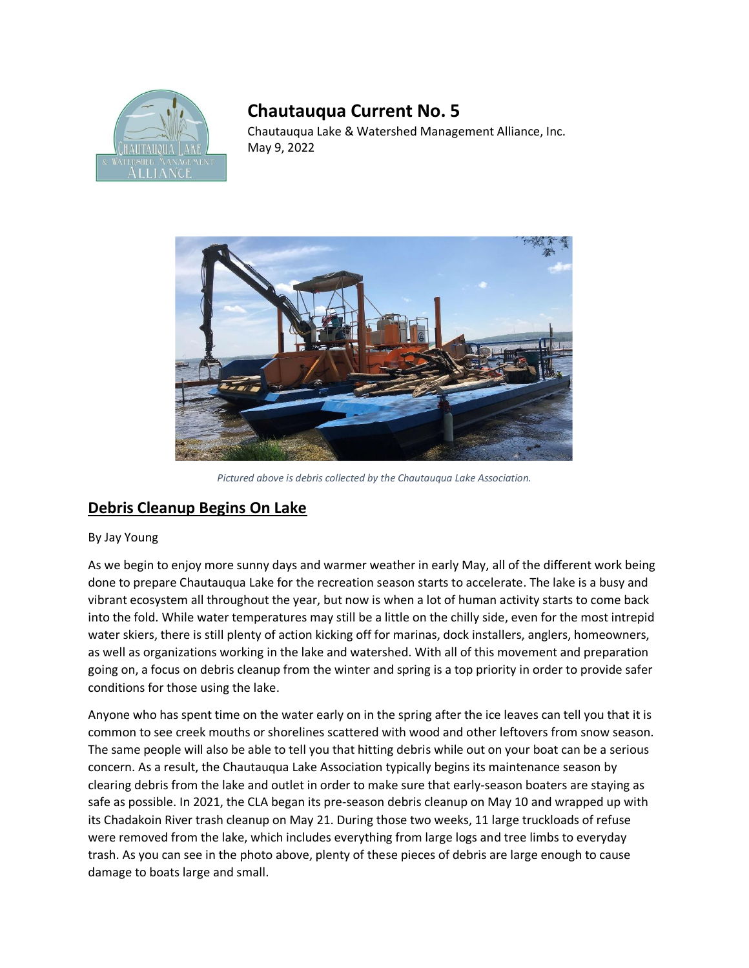

## **Chautauqua Current No. 5**

Chautauqua Lake & Watershed Management Alliance, Inc. May 9, 2022



*Pictured above is debris collected by the Chautauqua Lake Association.*

## **Debris Cleanup Begins On Lake**

## By Jay Young

As we begin to enjoy more sunny days and warmer weather in early May, all of the different work being done to prepare Chautauqua Lake for the recreation season starts to accelerate. The lake is a busy and vibrant ecosystem all throughout the year, but now is when a lot of human activity starts to come back into the fold. While water temperatures may still be a little on the chilly side, even for the most intrepid water skiers, there is still plenty of action kicking off for marinas, dock installers, anglers, homeowners, as well as organizations working in the lake and watershed. With all of this movement and preparation going on, a focus on debris cleanup from the winter and spring is a top priority in order to provide safer conditions for those using the lake.

Anyone who has spent time on the water early on in the spring after the ice leaves can tell you that it is common to see creek mouths or shorelines scattered with wood and other leftovers from snow season. The same people will also be able to tell you that hitting debris while out on your boat can be a serious concern. As a result, the Chautauqua Lake Association typically begins its maintenance season by clearing debris from the lake and outlet in order to make sure that early-season boaters are staying as safe as possible. In 2021, the CLA began its pre-season debris cleanup on May 10 and wrapped up with its Chadakoin River trash cleanup on May 21. During those two weeks, 11 large truckloads of refuse were removed from the lake, which includes everything from large logs and tree limbs to everyday trash. As you can see in the photo above, plenty of these pieces of debris are large enough to cause damage to boats large and small.